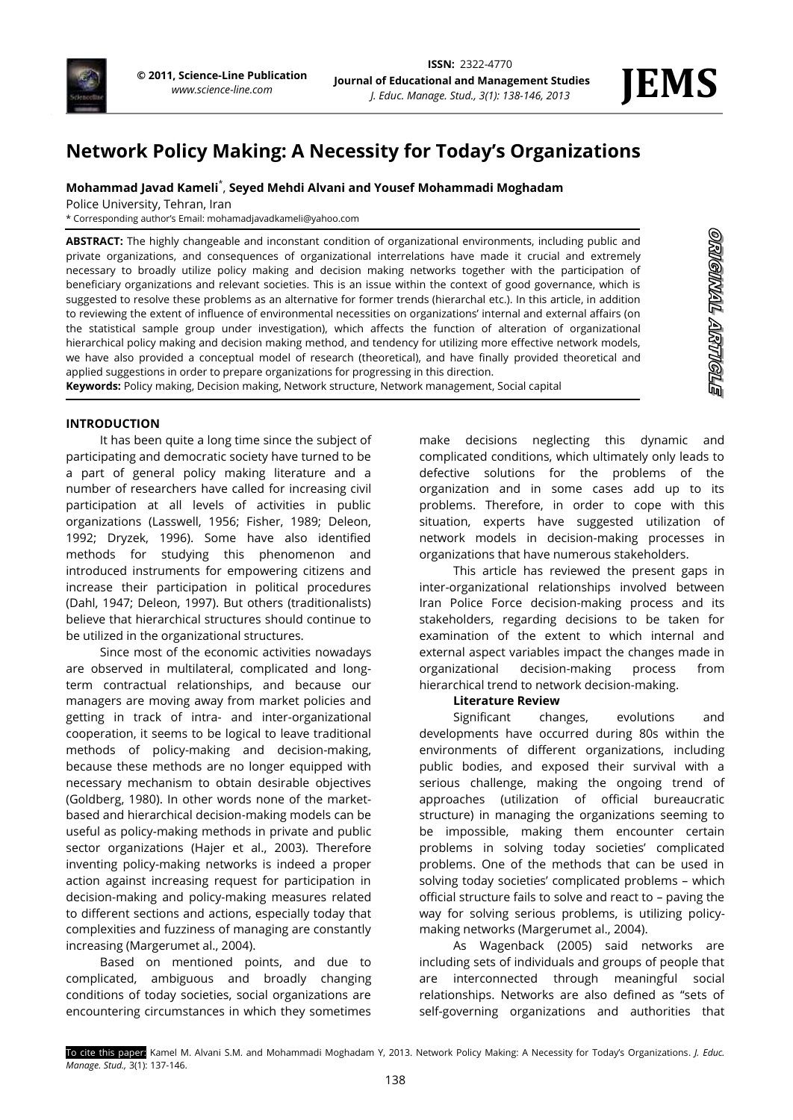

ORNGNNAL ARRITIGILE

# **Network Policy Making: A Necessity for Today's Organizations**

# **Mohammad Javad Kameli**\* , **Seyed Mehdi Alvani and Yousef Mohammadi Moghadam**

Police University, Tehran, Iran

\* Corresponding author's Email: mohamadjavadkameli@yahoo.com

**ABSTRACT:** The highly changeable and inconstant condition of organizational environments, including public and private organizations, and consequences of organizational interrelations have made it crucial and extremely necessary to broadly utilize policy making and decision making networks together with the participation of beneficiary organizations and relevant societies. This is an issue within the context of good governance, which is suggested to resolve these problems as an alternative for former trends (hierarchal etc.). In this article, in addition to reviewing the extent of influence of environmental necessities on organizations' internal and external affairs (on the statistical sample group under investigation), which affects the function of alteration of organizational hierarchical policy making and decision making method, and tendency for utilizing more effective network models, we have also provided a conceptual model of research (theoretical), and have finally provided theoretical and applied suggestions in order to prepare organizations for progressing in this direction.

**Keywords:** Policy making, Decision making, Network structure, Network management, Social capital

## **INTRODUCTION**

It has been quite a long time since the subject of participating and democratic society have turned to be a part of general policy making literature and a number of researchers have called for increasing civil participation at all levels of activities in public organizations (Lasswell, 1956; Fisher, 1989; Deleon, 1992; Dryzek, 1996). Some have also identified methods for studying this phenomenon and introduced instruments for empowering citizens and increase their participation in political procedures (Dahl, 1947; Deleon, 1997). But others (traditionalists) believe that hierarchical structures should continue to be utilized in the organizational structures.

Since most of the economic activities nowadays are observed in multilateral, complicated and longterm contractual relationships, and because our managers are moving away from market policies and getting in track of intra- and inter-organizational cooperation, it seems to be logical to leave traditional methods of policy-making and decision-making, because these methods are no longer equipped with necessary mechanism to obtain desirable objectives (Goldberg, 1980). In other words none of the marketbased and hierarchical decision-making models can be useful as policy-making methods in private and public sector organizations (Hajer et al., 2003). Therefore inventing policy-making networks is indeed a proper action against increasing request for participation in decision-making and policy-making measures related to different sections and actions, especially today that complexities and fuzziness of managing are constantly increasing (Margerumet al., 2004).

Based on mentioned points, and due to complicated, ambiguous and broadly changing conditions of today societies, social organizations are encountering circumstances in which they sometimes make decisions neglecting this dynamic and complicated conditions, which ultimately only leads to defective solutions for the problems of the organization and in some cases add up to its problems. Therefore, in order to cope with this situation, experts have suggested utilization of network models in decision-making processes in organizations that have numerous stakeholders.

This article has reviewed the present gaps in inter-organizational relationships involved between Iran Police Force decision-making process and its stakeholders, regarding decisions to be taken for examination of the extent to which internal and external aspect variables impact the changes made in organizational decision-making process from hierarchical trend to network decision-making.

#### **Literature Review**

Significant changes, evolutions and developments have occurred during 80s within the environments of different organizations, including public bodies, and exposed their survival with a serious challenge, making the ongoing trend of approaches (utilization of official bureaucratic structure) in managing the organizations seeming to be impossible, making them encounter certain problems in solving today societies' complicated problems. One of the methods that can be used in solving today societies' complicated problems – which official structure fails to solve and react to – paving the way for solving serious problems, is utilizing policymaking networks (Margerumet al., 2004).

As Wagenback (2005) said networks are including sets of individuals and groups of people that are interconnected through meaningful social relationships. Networks are also defined as "sets of self-governing organizations and authorities that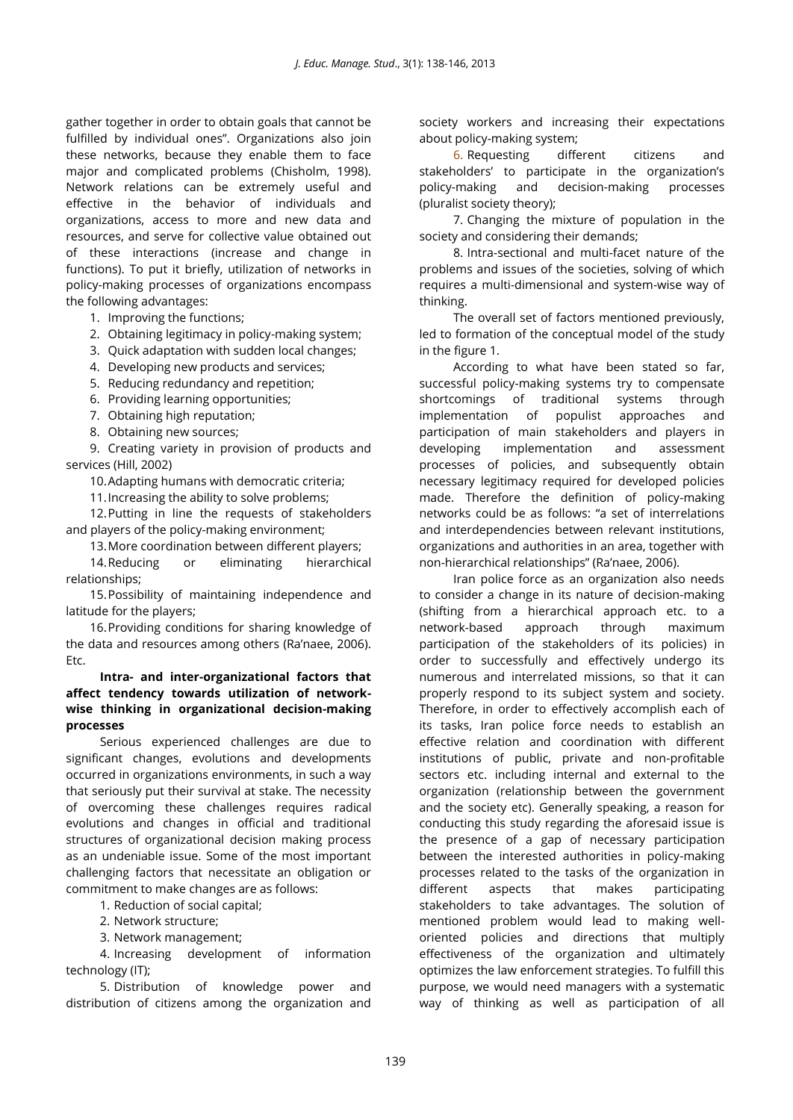gather together in order to obtain goals that cannot be fulfilled by individual ones". Organizations also join these networks, because they enable them to face major and complicated problems (Chisholm, 1998). Network relations can be extremely useful and effective in the behavior of individuals and organizations, access to more and new data and resources, and serve for collective value obtained out of these interactions (increase and change in functions). To put it briefly, utilization of networks in policy-making processes of organizations encompass the following advantages:

1. Improving the functions;

2. Obtaining legitimacy in policy-making system;

3. Quick adaptation with sudden local changes;

4. Developing new products and services;

5. Reducing redundancy and repetition;

6. Providing learning opportunities;

7. Obtaining high reputation;

8. Obtaining new sources;

9. Creating variety in provision of products and services (Hill, 2002)

10.Adapting humans with democratic criteria;

11.Increasing the ability to solve problems;

12.Putting in line the requests of stakeholders and players of the policy-making environment;

13.More coordination between different players;

14.Reducing or eliminating hierarchical relationships;

15.Possibility of maintaining independence and latitude for the players;

16.Providing conditions for sharing knowledge of the data and resources among others (Ra'naee, 2006). Etc.

**Intra- and inter-organizational factors that affect tendency towards utilization of networkwise thinking in organizational decision-making processes**

Serious experienced challenges are due to significant changes, evolutions and developments occurred in organizations environments, in such a way that seriously put their survival at stake. The necessity of overcoming these challenges requires radical evolutions and changes in official and traditional structures of organizational decision making process as an undeniable issue. Some of the most important challenging factors that necessitate an obligation or commitment to make changes are as follows:

1. Reduction of social capital;

2. Network structure;

3. Network management;

4. Increasing development of information technology (IT);

5. Distribution of knowledge power and distribution of citizens among the organization and society workers and increasing their expectations about policy-making system;

6. Requesting different citizens and stakeholders' to participate in the organization's policy-making and decision-making processes (pluralist society theory);

7. Changing the mixture of population in the society and considering their demands;

8. Intra-sectional and multi-facet nature of the problems and issues of the societies, solving of which requires a multi-dimensional and system-wise way of thinking.

The overall set of factors mentioned previously, led to formation of the conceptual model of the study in the figure 1.

According to what have been stated so far, successful policy-making systems try to compensate shortcomings of traditional systems through implementation of populist approaches and participation of main stakeholders and players in developing implementation and assessment processes of policies, and subsequently obtain necessary legitimacy required for developed policies made. Therefore the definition of policy-making networks could be as follows: "a set of interrelations and interdependencies between relevant institutions, organizations and authorities in an area, together with non-hierarchical relationships" (Ra'naee, 2006).

Iran police force as an organization also needs to consider a change in its nature of decision-making (shifting from a hierarchical approach etc. to a network-based approach through maximum participation of the stakeholders of its policies) in order to successfully and effectively undergo its numerous and interrelated missions, so that it can properly respond to its subject system and society. Therefore, in order to effectively accomplish each of its tasks, Iran police force needs to establish an effective relation and coordination with different institutions of public, private and non-profitable sectors etc. including internal and external to the organization (relationship between the government and the society etc). Generally speaking, a reason for conducting this study regarding the aforesaid issue is the presence of a gap of necessary participation between the interested authorities in policy-making processes related to the tasks of the organization in different aspects that makes participating stakeholders to take advantages. The solution of mentioned problem would lead to making welloriented policies and directions that multiply effectiveness of the organization and ultimately optimizes the law enforcement strategies. To fulfill this purpose, we would need managers with a systematic way of thinking as well as participation of all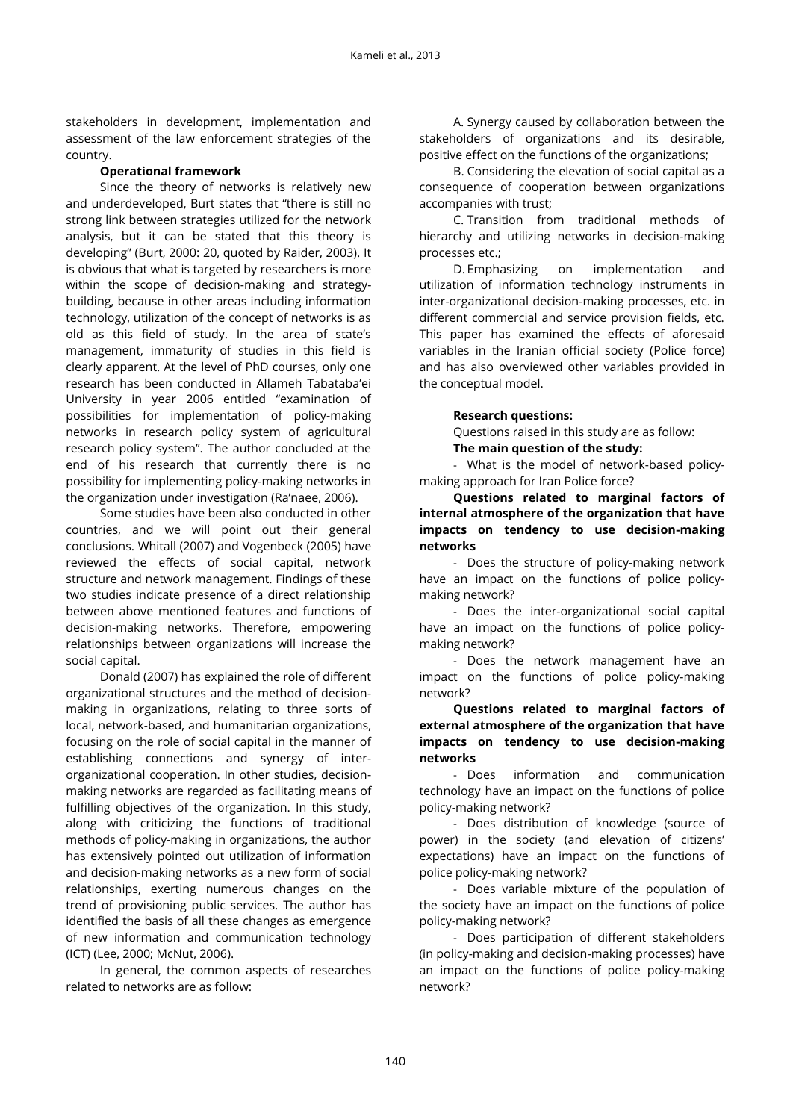stakeholders in development, implementation and assessment of the law enforcement strategies of the country.

#### **Operational framework**

Since the theory of networks is relatively new and underdeveloped, Burt states that "there is still no strong link between strategies utilized for the network analysis, but it can be stated that this theory is developing" (Burt, 2000: 20, quoted by Raider, 2003). It is obvious that what is targeted by researchers is more within the scope of decision-making and strategybuilding, because in other areas including information technology, utilization of the concept of networks is as old as this field of study. In the area of state's management, immaturity of studies in this field is clearly apparent. At the level of PhD courses, only one research has been conducted in Allameh Tabataba'ei University in year 2006 entitled "examination of possibilities for implementation of policy-making networks in research policy system of agricultural research policy system". The author concluded at the end of his research that currently there is no possibility for implementing policy-making networks in the organization under investigation (Ra'naee, 2006).

Some studies have been also conducted in other countries, and we will point out their general conclusions. Whitall (2007) and Vogenbeck (2005) have reviewed the effects of social capital, network structure and network management. Findings of these two studies indicate presence of a direct relationship between above mentioned features and functions of decision-making networks. Therefore, empowering relationships between organizations will increase the social capital.

Donald (2007) has explained the role of different organizational structures and the method of decisionmaking in organizations, relating to three sorts of local, network-based, and humanitarian organizations, focusing on the role of social capital in the manner of establishing connections and synergy of interorganizational cooperation. In other studies, decisionmaking networks are regarded as facilitating means of fulfilling objectives of the organization. In this study, along with criticizing the functions of traditional methods of policy-making in organizations, the author has extensively pointed out utilization of information and decision-making networks as a new form of social relationships, exerting numerous changes on the trend of provisioning public services. The author has identified the basis of all these changes as emergence of new information and communication technology (ICT) (Lee, 2000; McNut, 2006).

In general, the common aspects of researches related to networks are as follow:

A. Synergy caused by collaboration between the stakeholders of organizations and its desirable, positive effect on the functions of the organizations;

B. Considering the elevation of social capital as a consequence of cooperation between organizations accompanies with trust;

C. Transition from traditional methods of hierarchy and utilizing networks in decision-making processes etc.;

D. Emphasizing on implementation and utilization of information technology instruments in inter-organizational decision-making processes, etc. in different commercial and service provision fields, etc. This paper has examined the effects of aforesaid variables in the Iranian official society (Police force) and has also overviewed other variables provided in the conceptual model.

#### **Research questions:**

Questions raised in this study are as follow:

**The main question of the study:**

- What is the model of network-based policymaking approach for Iran Police force?

**Questions related to marginal factors of internal atmosphere of the organization that have impacts on tendency to use decision-making networks**

- Does the structure of policy-making network have an impact on the functions of police policymaking network?

- Does the inter-organizational social capital have an impact on the functions of police policymaking network?

- Does the network management have an impact on the functions of police policy-making network?

**Questions related to marginal factors of external atmosphere of the organization that have impacts on tendency to use decision-making networks**

- Does information and communication technology have an impact on the functions of police policy-making network?

- Does distribution of knowledge (source of power) in the society (and elevation of citizens' expectations) have an impact on the functions of police policy-making network?

- Does variable mixture of the population of the society have an impact on the functions of police policy-making network?

- Does participation of different stakeholders (in policy-making and decision-making processes) have an impact on the functions of police policy-making network?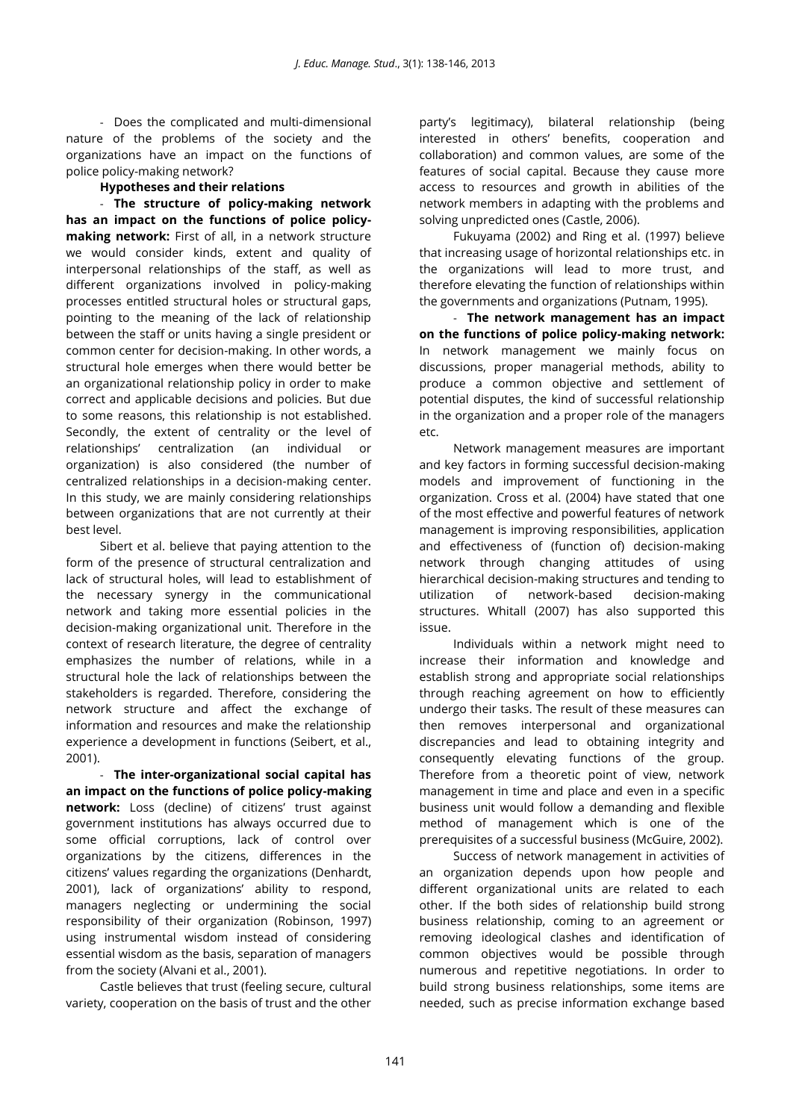- Does the complicated and multi-dimensional nature of the problems of the society and the organizations have an impact on the functions of police policy-making network?

## **Hypotheses and their relations**

- **The structure of policy-making network has an impact on the functions of police policymaking network:** First of all, in a network structure we would consider kinds, extent and quality of interpersonal relationships of the staff, as well as different organizations involved in policy-making processes entitled structural holes or structural gaps, pointing to the meaning of the lack of relationship between the staff or units having a single president or common center for decision-making. In other words, a structural hole emerges when there would better be an organizational relationship policy in order to make correct and applicable decisions and policies. But due to some reasons, this relationship is not established. Secondly, the extent of centrality or the level of relationships' centralization (an individual or organization) is also considered (the number of centralized relationships in a decision-making center. In this study, we are mainly considering relationships between organizations that are not currently at their best level.

Sibert et al. believe that paying attention to the form of the presence of structural centralization and lack of structural holes, will lead to establishment of the necessary synergy in the communicational network and taking more essential policies in the decision-making organizational unit. Therefore in the context of research literature, the degree of centrality emphasizes the number of relations, while in a structural hole the lack of relationships between the stakeholders is regarded. Therefore, considering the network structure and affect the exchange of information and resources and make the relationship experience a development in functions (Seibert, et al., 2001).

- **The inter-organizational social capital has an impact on the functions of police policy-making network:** Loss (decline) of citizens' trust against government institutions has always occurred due to some official corruptions, lack of control over organizations by the citizens, differences in the citizens' values regarding the organizations (Denhardt, 2001), lack of organizations' ability to respond, managers neglecting or undermining the social responsibility of their organization (Robinson, 1997) using instrumental wisdom instead of considering essential wisdom as the basis, separation of managers from the society (Alvani et al., 2001).

Castle believes that trust (feeling secure, cultural variety, cooperation on the basis of trust and the other

party's legitimacy), bilateral relationship (being interested in others' benefits, cooperation and collaboration) and common values, are some of the features of social capital. Because they cause more access to resources and growth in abilities of the network members in adapting with the problems and solving unpredicted ones (Castle, 2006).

Fukuyama (2002) and Ring et al. (1997) believe that increasing usage of horizontal relationships etc. in the organizations will lead to more trust, and therefore elevating the function of relationships within the governments and organizations (Putnam, 1995).

- **The network management has an impact on the functions of police policy-making network:**  In network management we mainly focus on discussions, proper managerial methods, ability to produce a common objective and settlement of potential disputes, the kind of successful relationship in the organization and a proper role of the managers etc.

Network management measures are important and key factors in forming successful decision-making models and improvement of functioning in the organization. Cross et al. (2004) have stated that one of the most effective and powerful features of network management is improving responsibilities, application and effectiveness of (function of) decision-making network through changing attitudes of using hierarchical decision-making structures and tending to utilization of network-based decision-making structures. Whitall (2007) has also supported this issue.

Individuals within a network might need to increase their information and knowledge and establish strong and appropriate social relationships through reaching agreement on how to efficiently undergo their tasks. The result of these measures can then removes interpersonal and organizational discrepancies and lead to obtaining integrity and consequently elevating functions of the group. Therefore from a theoretic point of view, network management in time and place and even in a specific business unit would follow a demanding and flexible method of management which is one of the prerequisites of a successful business (McGuire, 2002).

Success of network management in activities of an organization depends upon how people and different organizational units are related to each other. If the both sides of relationship build strong business relationship, coming to an agreement or removing ideological clashes and identification of common objectives would be possible through numerous and repetitive negotiations. In order to build strong business relationships, some items are needed, such as precise information exchange based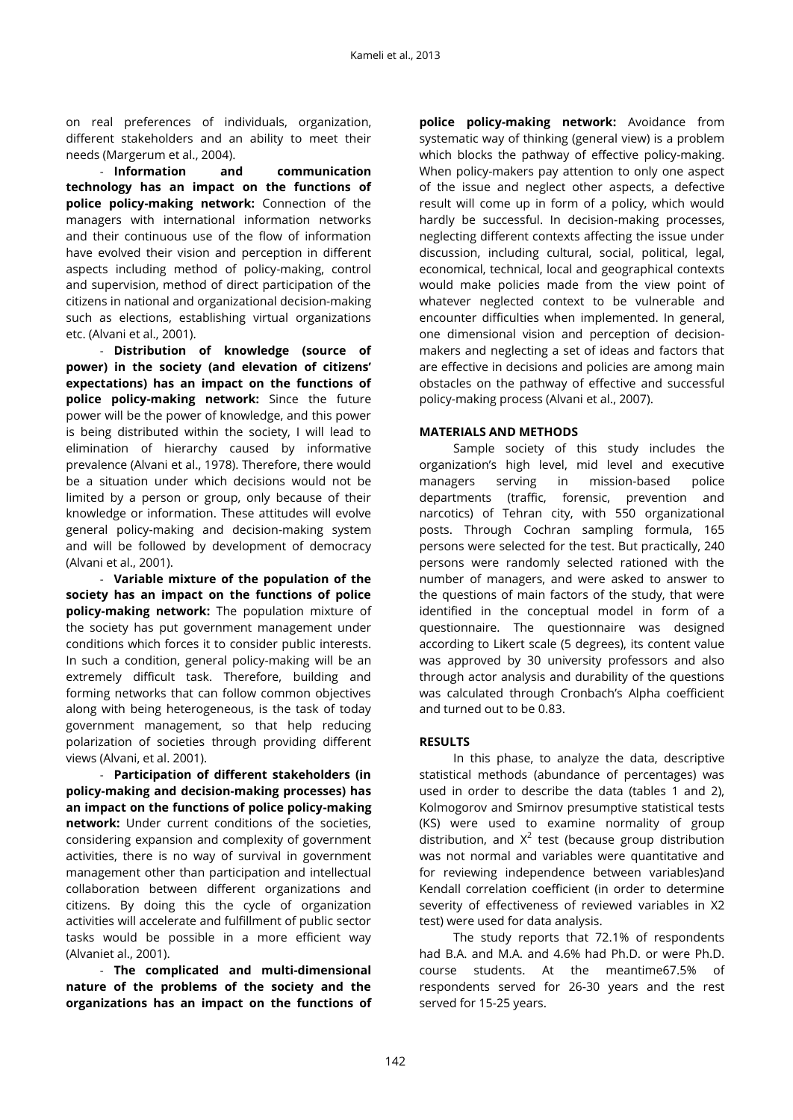on real preferences of individuals, organization, different stakeholders and an ability to meet their needs (Margerum et al., 2004).

- **Information and communication technology has an impact on the functions of police policy-making network:** Connection of the managers with international information networks and their continuous use of the flow of information have evolved their vision and perception in different aspects including method of policy-making, control and supervision, method of direct participation of the citizens in national and organizational decision-making such as elections, establishing virtual organizations etc. (Alvani et al., 2001).

- **Distribution of knowledge (source of power) in the society (and elevation of citizens' expectations) has an impact on the functions of police policy-making network:** Since the future power will be the power of knowledge, and this power is being distributed within the society, I will lead to elimination of hierarchy caused by informative prevalence (Alvani et al., 1978). Therefore, there would be a situation under which decisions would not be limited by a person or group, only because of their knowledge or information. These attitudes will evolve general policy-making and decision-making system and will be followed by development of democracy (Alvani et al., 2001).

- **Variable mixture of the population of the society has an impact on the functions of police policy-making network:** The population mixture of the society has put government management under conditions which forces it to consider public interests. In such a condition, general policy-making will be an extremely difficult task. Therefore, building and forming networks that can follow common objectives along with being heterogeneous, is the task of today government management, so that help reducing polarization of societies through providing different views (Alvani, et al. 2001).

- **Participation of different stakeholders (in policy-making and decision-making processes) has an impact on the functions of police policy-making network:** Under current conditions of the societies, considering expansion and complexity of government activities, there is no way of survival in government management other than participation and intellectual collaboration between different organizations and citizens. By doing this the cycle of organization activities will accelerate and fulfillment of public sector tasks would be possible in a more efficient way (Alvaniet al., 2001).

- **The complicated and multi-dimensional nature of the problems of the society and the organizations has an impact on the functions of** 

**police policy-making network:** Avoidance from systematic way of thinking (general view) is a problem which blocks the pathway of effective policy-making. When policy-makers pay attention to only one aspect of the issue and neglect other aspects, a defective result will come up in form of a policy, which would hardly be successful. In decision-making processes, neglecting different contexts affecting the issue under discussion, including cultural, social, political, legal, economical, technical, local and geographical contexts would make policies made from the view point of whatever neglected context to be vulnerable and encounter difficulties when implemented. In general, one dimensional vision and perception of decisionmakers and neglecting a set of ideas and factors that are effective in decisions and policies are among main obstacles on the pathway of effective and successful policy-making process (Alvani et al., 2007).

#### **MATERIALS AND METHODS**

Sample society of this study includes the organization's high level, mid level and executive managers serving in mission-based police departments (traffic, forensic, prevention and narcotics) of Tehran city, with 550 organizational posts. Through Cochran sampling formula, 165 persons were selected for the test. But practically, 240 persons were randomly selected rationed with the number of managers, and were asked to answer to the questions of main factors of the study, that were identified in the conceptual model in form of a questionnaire. The questionnaire was designed according to Likert scale (5 degrees), its content value was approved by 30 university professors and also through actor analysis and durability of the questions was calculated through Cronbach's Alpha coefficient and turned out to be 0.83.

## **RESULTS**

In this phase, to analyze the data, descriptive statistical methods (abundance of percentages) was used in order to describe the data (tables 1 and 2), Kolmogorov and Smirnov presumptive statistical tests (KS) were used to examine normality of group distribution, and  $X^2$  test (because group distribution was not normal and variables were quantitative and for reviewing independence between variables)and Kendall correlation coefficient (in order to determine severity of effectiveness of reviewed variables in X2 test) were used for data analysis.

The study reports that 72.1% of respondents had B.A. and M.A. and 4.6% had Ph.D. or were Ph.D. course students. At the meantime67.5% of respondents served for 26-30 years and the rest served for 15-25 years.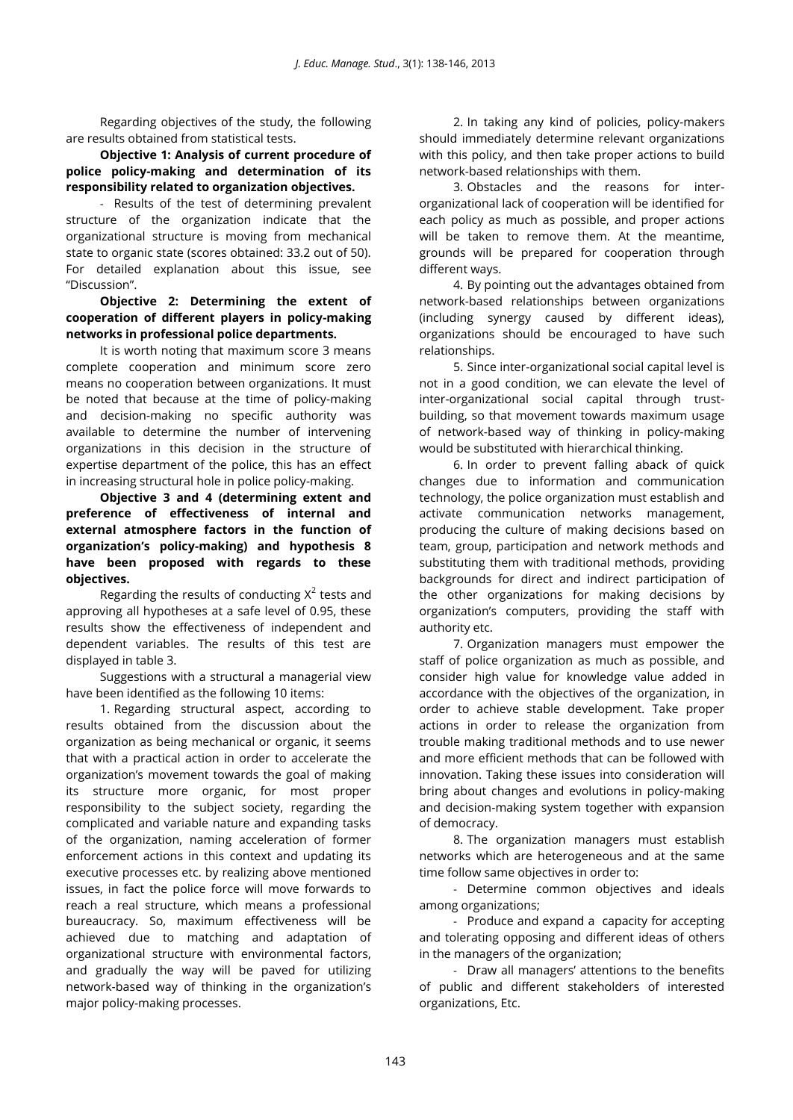Regarding objectives of the study, the following are results obtained from statistical tests.

**Objective 1: Analysis of current procedure of police policy-making and determination of its responsibility related to organization objectives.**

- Results of the test of determining prevalent structure of the organization indicate that the organizational structure is moving from mechanical state to organic state (scores obtained: 33.2 out of 50). For detailed explanation about this issue, see "Discussion".

# **Objective 2: Determining the extent of cooperation of different players in policy-making networks in professional police departments.**

It is worth noting that maximum score 3 means complete cooperation and minimum score zero means no cooperation between organizations. It must be noted that because at the time of policy-making and decision-making no specific authority was available to determine the number of intervening organizations in this decision in the structure of expertise department of the police, this has an effect in increasing structural hole in police policy-making.

**Objective 3 and 4 (determining extent and preference of effectiveness of internal and external atmosphere factors in the function of organization's policy-making) and hypothesis 8 have been proposed with regards to these objectives.**

Regarding the results of conducting  $X^2$  tests and approving all hypotheses at a safe level of 0.95, these results show the effectiveness of independent and dependent variables. The results of this test are displayed in table 3.

Suggestions with a structural a managerial view have been identified as the following 10 items:

1. Regarding structural aspect, according to results obtained from the discussion about the organization as being mechanical or organic, it seems that with a practical action in order to accelerate the organization's movement towards the goal of making its structure more organic, for most proper responsibility to the subject society, regarding the complicated and variable nature and expanding tasks of the organization, naming acceleration of former enforcement actions in this context and updating its executive processes etc. by realizing above mentioned issues, in fact the police force will move forwards to reach a real structure, which means a professional bureaucracy. So, maximum effectiveness will be achieved due to matching and adaptation of organizational structure with environmental factors, and gradually the way will be paved for utilizing network-based way of thinking in the organization's major policy-making processes.

2. In taking any kind of policies, policy-makers should immediately determine relevant organizations with this policy, and then take proper actions to build network-based relationships with them.

3. Obstacles and the reasons for interorganizational lack of cooperation will be identified for each policy as much as possible, and proper actions will be taken to remove them. At the meantime, grounds will be prepared for cooperation through different ways.

4. By pointing out the advantages obtained from network-based relationships between organizations (including synergy caused by different ideas), organizations should be encouraged to have such relationships.

5. Since inter-organizational social capital level is not in a good condition, we can elevate the level of inter-organizational social capital through trustbuilding, so that movement towards maximum usage of network-based way of thinking in policy-making would be substituted with hierarchical thinking.

6. In order to prevent falling aback of quick changes due to information and communication technology, the police organization must establish and activate communication networks management, producing the culture of making decisions based on team, group, participation and network methods and substituting them with traditional methods, providing backgrounds for direct and indirect participation of the other organizations for making decisions by organization's computers, providing the staff with authority etc.

7. Organization managers must empower the staff of police organization as much as possible, and consider high value for knowledge value added in accordance with the objectives of the organization, in order to achieve stable development. Take proper actions in order to release the organization from trouble making traditional methods and to use newer and more efficient methods that can be followed with innovation. Taking these issues into consideration will bring about changes and evolutions in policy-making and decision-making system together with expansion of democracy.

8. The organization managers must establish networks which are heterogeneous and at the same time follow same objectives in order to:

- Determine common objectives and ideals among organizations;

- Produce and expand a capacity for accepting and tolerating opposing and different ideas of others in the managers of the organization;

- Draw all managers' attentions to the benefits of public and different stakeholders of interested organizations, Etc.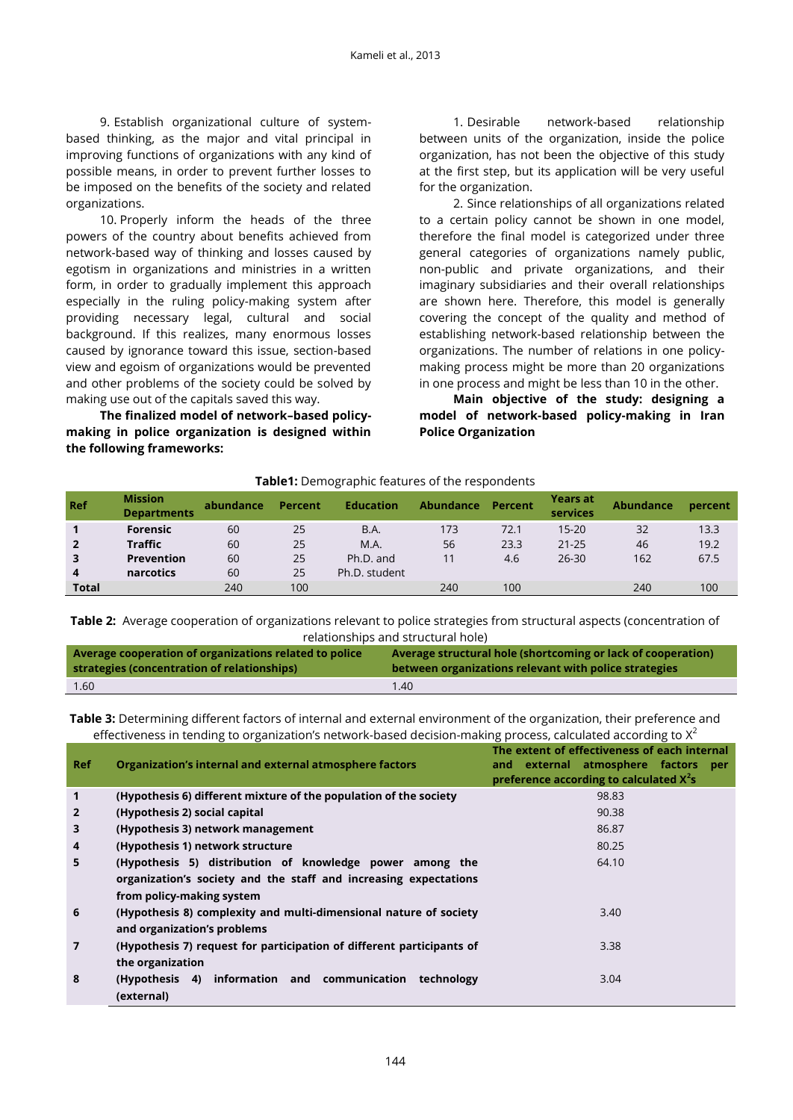9. Establish organizational culture of systembased thinking, as the major and vital principal in improving functions of organizations with any kind of possible means, in order to prevent further losses to be imposed on the benefits of the society and related organizations.

10. Properly inform the heads of the three powers of the country about benefits achieved from network-based way of thinking and losses caused by egotism in organizations and ministries in a written form, in order to gradually implement this approach especially in the ruling policy-making system after providing necessary legal, cultural and social background. If this realizes, many enormous losses caused by ignorance toward this issue, section-based view and egoism of organizations would be prevented and other problems of the society could be solved by making use out of the capitals saved this way.

**The finalized model of network–based policymaking in police organization is designed within the following frameworks:**

1. Desirable network-based relationship between units of the organization, inside the police organization, has not been the objective of this study at the first step, but its application will be very useful for the organization.

2. Since relationships of all organizations related to a certain policy cannot be shown in one model, therefore the final model is categorized under three general categories of organizations namely public, non-public and private organizations, and their imaginary subsidiaries and their overall relationships are shown here. Therefore, this model is generally covering the concept of the quality and method of establishing network-based relationship between the organizations. The number of relations in one policymaking process might be more than 20 organizations in one process and might be less than 10 in the other.

**Main objective of the study: designing a model of network-based policy-making in Iran Police Organization** 

#### **Table1:** Demographic features of the respondents

| Ref          | <b>Mission</b><br><b>Departments</b> | abundance | Percent | <b>Education</b> | <b>Abundance</b> | Percent | <b>Years at</b><br>services | <b>Abundance</b> | percent |
|--------------|--------------------------------------|-----------|---------|------------------|------------------|---------|-----------------------------|------------------|---------|
|              | <b>Forensic</b>                      | 60        | 25      | B.A.             | 173              | 72.1    | $15 - 20$                   | 32               | 13.3    |
|              | <b>Traffic</b>                       | 60        | 25      | M.A.             | 56               | 23.3    | $21 - 25$                   | 46               | 19.2    |
| 3            | <b>Prevention</b>                    | 60        | 25      | Ph.D. and        |                  | 4.6     | $26 - 30$                   | 162              | 67.5    |
| 4            | narcotics                            | 60        | 25      | Ph.D. student    |                  |         |                             |                  |         |
| <b>Total</b> |                                      | 240       | 100     |                  | 240              | 100     |                             | 240              | 100     |

**Table 2:** Average cooperation of organizations relevant to police strategies from structural aspects (concentration of relationships and structural hole)

| Average cooperation of organizations related to police | Average structural hole (shortcoming or lack of cooperation) |
|--------------------------------------------------------|--------------------------------------------------------------|
| strategies (concentration of relationships)            | between organizations relevant with police strategies        |
| 1.60                                                   | 1.40                                                         |

**Table 3:** Determining different factors of internal and external environment of the organization, their preference and effectiveness in tending to organization's network-based decision-making process, calculated according to  $X^2$ 

|                |                                                                       | The extent of effectiveness of each internal |  |  |  |  |
|----------------|-----------------------------------------------------------------------|----------------------------------------------|--|--|--|--|
| <b>Ref</b>     | Organization's internal and external atmosphere factors               | and external atmosphere factors per          |  |  |  |  |
|                |                                                                       | preference according to calculated $X^2$ s   |  |  |  |  |
| 1              | (Hypothesis 6) different mixture of the population of the society     | 98.83                                        |  |  |  |  |
| $\overline{2}$ | (Hypothesis 2) social capital                                         | 90.38                                        |  |  |  |  |
| 3              | (Hypothesis 3) network management                                     | 86.87                                        |  |  |  |  |
| 4              | (Hypothesis 1) network structure                                      | 80.25                                        |  |  |  |  |
| 5              | (Hypothesis 5) distribution of knowledge power among the              | 64.10                                        |  |  |  |  |
|                | organization's society and the staff and increasing expectations      |                                              |  |  |  |  |
|                | from policy-making system                                             |                                              |  |  |  |  |
| 6              | (Hypothesis 8) complexity and multi-dimensional nature of society     | 3.40                                         |  |  |  |  |
|                | and organization's problems                                           |                                              |  |  |  |  |
| $\overline{7}$ | (Hypothesis 7) request for participation of different participants of | 3.38                                         |  |  |  |  |
|                | the organization                                                      |                                              |  |  |  |  |
| 8              | (Hypothesis 4) information and communication technology               | 3.04                                         |  |  |  |  |
|                | (external)                                                            |                                              |  |  |  |  |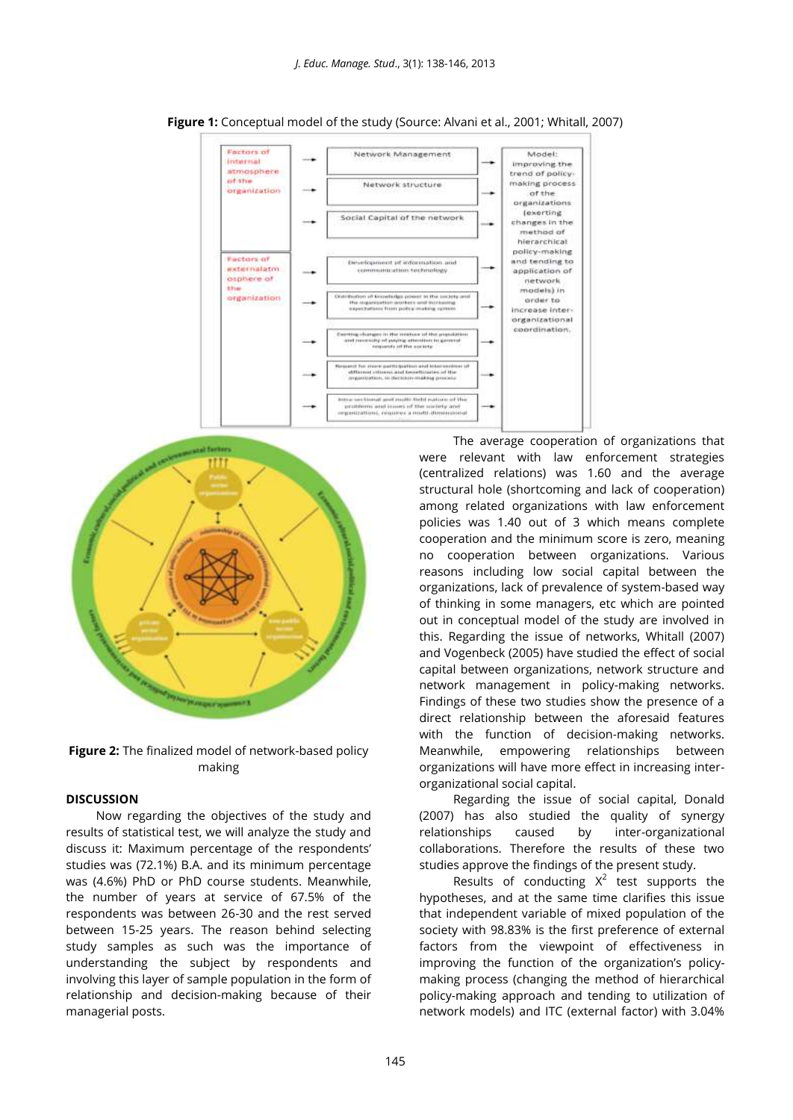

**Figure 1:** Conceptual model of the study (Source: Alvani et al., 2001; Whitall, 2007)





#### **DISCUSSION**

Now regarding the objectives of the study and results of statistical test, we will analyze the study and discuss it: Maximum percentage of the respondents' studies was (72.1%) B.A. and its minimum percentage was (4.6%) PhD or PhD course students. Meanwhile, the number of years at service of 67.5% of the respondents was between 26-30 and the rest served between 15-25 years. The reason behind selecting study samples as such was the importance of understanding the subject by respondents and involving this layer of sample population in the form of relationship and decision-making because of their managerial posts.

The average cooperation of organizations that were relevant with law enforcement strategies (centralized relations) was 1.60 and the average structural hole (shortcoming and lack of cooperation) among related organizations with law enforcement policies was 1.40 out of 3 which means complete cooperation and the minimum score is zero, meaning no cooperation between organizations. Various reasons including low social capital between the organizations, lack of prevalence of system-based way of thinking in some managers, etc which are pointed out in conceptual model of the study are involved in this. Regarding the issue of networks, Whitall (2007) and Vogenbeck (2005) have studied the effect of social capital between organizations, network structure and network management in policy-making networks. Findings of these two studies show the presence of a direct relationship between the aforesaid features with the function of decision-making networks. Meanwhile, empowering relationships between organizations will have more effect in increasing interorganizational social capital.

Regarding the issue of social capital, Donald (2007) has also studied the quality of synergy relationships caused by inter-organizational collaborations. Therefore the results of these two studies approve the findings of the present study.

Results of conducting  $X^2$  test supports the hypotheses, and at the same time clarifies this issue that independent variable of mixed population of the society with 98.83% is the first preference of external factors from the viewpoint of effectiveness in improving the function of the organization's policymaking process (changing the method of hierarchical policy-making approach and tending to utilization of network models) and ITC (external factor) with 3.04%